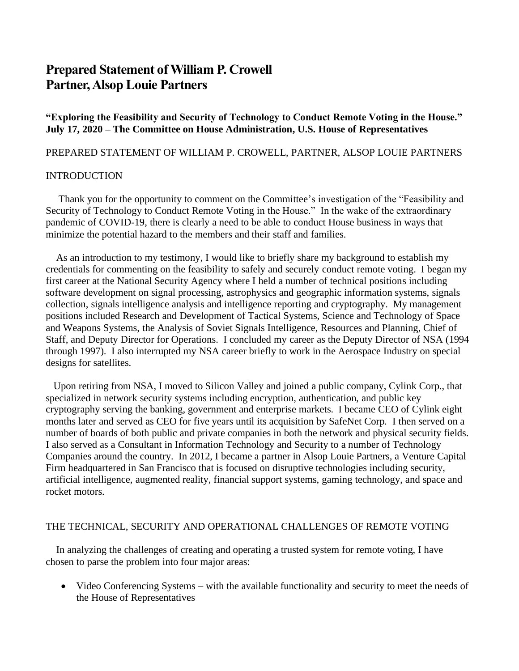# **Prepared Statement of William P. Crowell Partner, Alsop Louie Partners**

**"Exploring the Feasibility and Security of Technology to Conduct Remote Voting in the House." July 17, 2020 – The Committee on House Administration, U.S. House of Representatives**

### PREPARED STATEMENT OF WILLIAM P. CROWELL, PARTNER, ALSOP LOUIE PARTNERS

## INTRODUCTION

 Thank you for the opportunity to comment on the Committee's investigation of the "Feasibility and Security of Technology to Conduct Remote Voting in the House." In the wake of the extraordinary pandemic of COVID-19, there is clearly a need to be able to conduct House business in ways that minimize the potential hazard to the members and their staff and families.

 As an introduction to my testimony, I would like to briefly share my background to establish my credentials for commenting on the feasibility to safely and securely conduct remote voting. I began my first career at the National Security Agency where I held a number of technical positions including software development on signal processing, astrophysics and geographic information systems, signals collection, signals intelligence analysis and intelligence reporting and cryptography. My management positions included Research and Development of Tactical Systems, Science and Technology of Space and Weapons Systems, the Analysis of Soviet Signals Intelligence, Resources and Planning, Chief of Staff, and Deputy Director for Operations. I concluded my career as the Deputy Director of NSA (1994 through 1997). I also interrupted my NSA career briefly to work in the Aerospace Industry on special designs for satellites.

 Upon retiring from NSA, I moved to Silicon Valley and joined a public company, Cylink Corp., that specialized in network security systems including encryption, authentication, and public key cryptography serving the banking, government and enterprise markets. I became CEO of Cylink eight months later and served as CEO for five years until its acquisition by SafeNet Corp. I then served on a number of boards of both public and private companies in both the network and physical security fields. I also served as a Consultant in Information Technology and Security to a number of Technology Companies around the country. In 2012, I became a partner in Alsop Louie Partners, a Venture Capital Firm headquartered in San Francisco that is focused on disruptive technologies including security, artificial intelligence, augmented reality, financial support systems, gaming technology, and space and rocket motors.

# THE TECHNICAL, SECURITY AND OPERATIONAL CHALLENGES OF REMOTE VOTING

 In analyzing the challenges of creating and operating a trusted system for remote voting, I have chosen to parse the problem into four major areas:

• Video Conferencing Systems – with the available functionality and security to meet the needs of the House of Representatives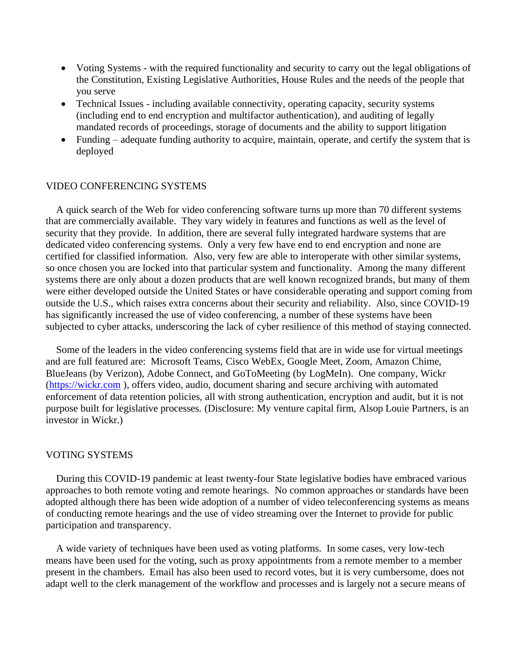- Voting Systems with the required functionality and security to carry out the legal obligations of the Constitution, Existing Legislative Authorities, House Rules and the needs of the people that you serve
- Technical Issues including available connectivity, operating capacity, security systems (including end to end encryption and multifactor authentication), and auditing of legally mandated records of proceedings, storage of documents and the ability to support litigation
- Funding adequate funding authority to acquire, maintain, operate, and certify the system that is deployed

#### VIDEO CONFERENCING SYSTEMS

 A quick search of the Web for video conferencing software turns up more than 70 different systems that are commercially available. They vary widely in features and functions as well as the level of security that they provide. In addition, there are several fully integrated hardware systems that are dedicated video conferencing systems. Only a very few have end to end encryption and none are certified for classified information. Also, very few are able to interoperate with other similar systems, so once chosen you are locked into that particular system and functionality. Among the many different systems there are only about a dozen products that are well known recognized brands, but many of them were either developed outside the United States or have considerable operating and support coming from outside the U.S., which raises extra concerns about their security and reliability. Also, since COVID-19 has significantly increased the use of video conferencing, a number of these systems have been subjected to cyber attacks, underscoring the lack of cyber resilience of this method of staying connected.

 Some of the leaders in the video conferencing systems field that are in wide use for virtual meetings and are full featured are: Microsoft Teams, Cisco WebEx, Google Meet, Zoom, Amazon Chime, BlueJeans (by Verizon), Adobe Connect, and GoToMeeting (by LogMeIn). One company, Wickr [\(https://wickr.com](https://wickr.com/) ), offers video, audio, document sharing and secure archiving with automated enforcement of data retention policies, all with strong authentication, encryption and audit, but it is not purpose built for legislative processes. (Disclosure: My venture capital firm, Alsop Louie Partners, is an investor in Wickr.)

#### VOTING SYSTEMS

 During this COVID-19 pandemic at least twenty-four State legislative bodies have embraced various approaches to both remote voting and remote hearings. No common approaches or standards have been adopted although there has been wide adoption of a number of video teleconferencing systems as means of conducting remote hearings and the use of video streaming over the Internet to provide for public participation and transparency.

 A wide variety of techniques have been used as voting platforms. In some cases, very low-tech means have been used for the voting, such as proxy appointments from a remote member to a member present in the chambers. Email has also been used to record votes, but it is very cumbersome, does not adapt well to the clerk management of the workflow and processes and is largely not a secure means of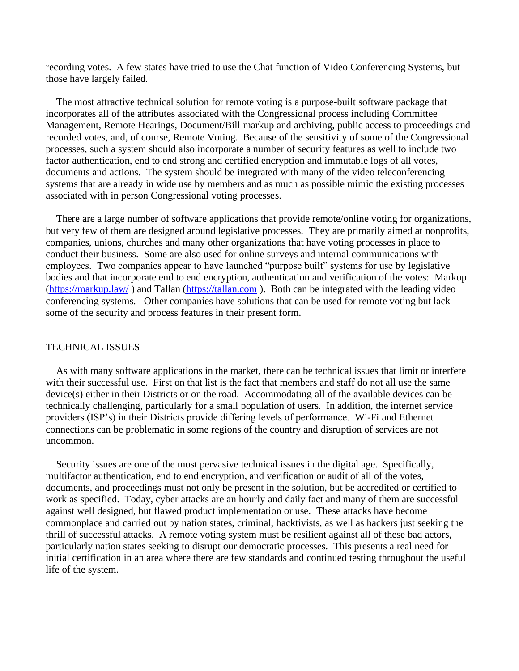recording votes. A few states have tried to use the Chat function of Video Conferencing Systems, but those have largely failed.

 The most attractive technical solution for remote voting is a purpose-built software package that incorporates all of the attributes associated with the Congressional process including Committee Management, Remote Hearings, Document/Bill markup and archiving, public access to proceedings and recorded votes, and, of course, Remote Voting. Because of the sensitivity of some of the Congressional processes, such a system should also incorporate a number of security features as well to include two factor authentication, end to end strong and certified encryption and immutable logs of all votes, documents and actions. The system should be integrated with many of the video teleconferencing systems that are already in wide use by members and as much as possible mimic the existing processes associated with in person Congressional voting processes.

 There are a large number of software applications that provide remote/online voting for organizations, but very few of them are designed around legislative processes. They are primarily aimed at nonprofits, companies, unions, churches and many other organizations that have voting processes in place to conduct their business. Some are also used for online surveys and internal communications with employees. Two companies appear to have launched "purpose built" systems for use by legislative bodies and that incorporate end to end encryption, authentication and verification of the votes: Markup [\(https://markup.law/](https://markup.law/)) and Tallan [\(https://tallan.com](https://tallan.com/)). Both can be integrated with the leading video conferencing systems. Other companies have solutions that can be used for remote voting but lack some of the security and process features in their present form.

#### TECHNICAL ISSUES

 As with many software applications in the market, there can be technical issues that limit or interfere with their successful use. First on that list is the fact that members and staff do not all use the same device(s) either in their Districts or on the road. Accommodating all of the available devices can be technically challenging, particularly for a small population of users. In addition, the internet service providers (ISP's) in their Districts provide differing levels of performance. Wi-Fi and Ethernet connections can be problematic in some regions of the country and disruption of services are not uncommon.

 Security issues are one of the most pervasive technical issues in the digital age. Specifically, multifactor authentication, end to end encryption, and verification or audit of all of the votes, documents, and proceedings must not only be present in the solution, but be accredited or certified to work as specified. Today, cyber attacks are an hourly and daily fact and many of them are successful against well designed, but flawed product implementation or use. These attacks have become commonplace and carried out by nation states, criminal, hacktivists, as well as hackers just seeking the thrill of successful attacks. A remote voting system must be resilient against all of these bad actors, particularly nation states seeking to disrupt our democratic processes. This presents a real need for initial certification in an area where there are few standards and continued testing throughout the useful life of the system.